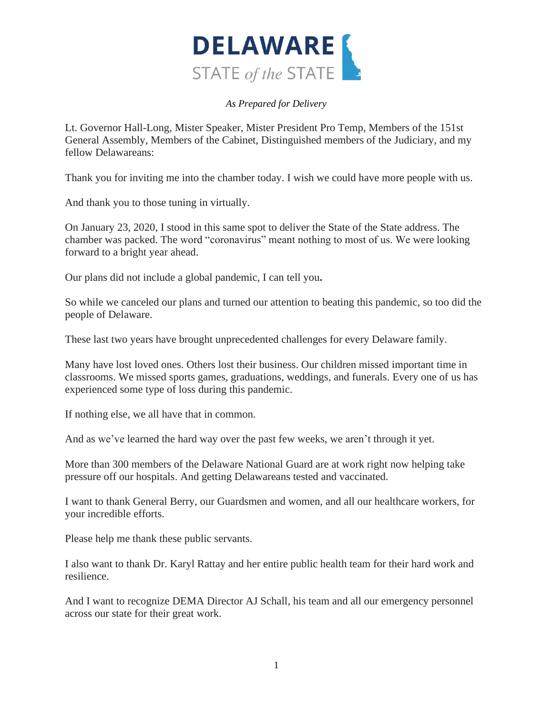

Lt. Governor Hall-Long, Mister Speaker, Mister President Pro Temp, Members of the 151st General Assembly, Members of the Cabinet, Distinguished members of the Judiciary, and my fellow Delawareans:

Thank you for inviting me into the chamber today. I wish we could have more people with us.

And thank you to those tuning in virtually.

On January 23, 2020, I stood in this same spot to deliver the State of the State address. The chamber was packed. The word "coronavirus" meant nothing to most of us. We were looking forward to a bright year ahead.

Our plans did not include a global pandemic, I can tell you**.**

So while we canceled our plans and turned our attention to beating this pandemic, so too did the people of Delaware.

These last two years have brought unprecedented challenges for every Delaware family.

Many have lost loved ones. Others lost their business. Our children missed important time in classrooms. We missed sports games, graduations, weddings, and funerals. Every one of us has experienced some type of loss during this pandemic.

If nothing else, we all have that in common.

And as we've learned the hard way over the past few weeks, we aren't through it yet.

More than 300 members of the Delaware National Guard are at work right now helping take pressure off our hospitals. And getting Delawareans tested and vaccinated.

I want to thank General Berry, our Guardsmen and women, and all our healthcare workers, for your incredible efforts.

Please help me thank these public servants.

I also want to thank Dr. Karyl Rattay and her entire public health team for their hard work and resilience.

And I want to recognize DEMA Director AJ Schall, his team and all our emergency personnel across our state for their great work.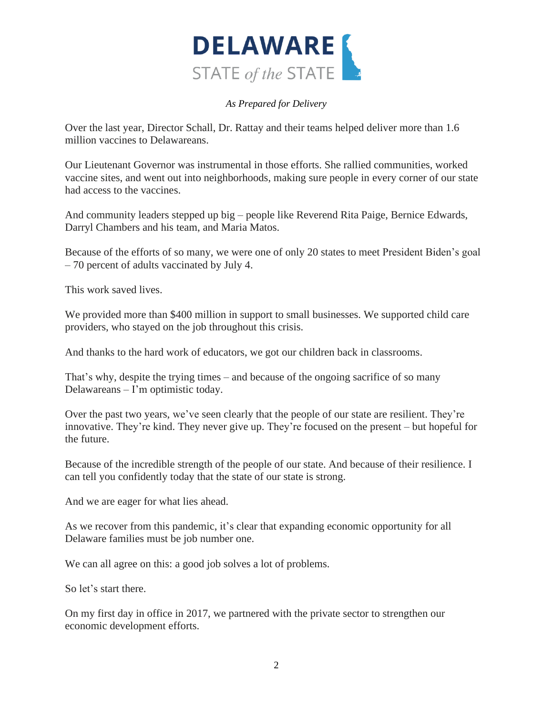

Over the last year, Director Schall, Dr. Rattay and their teams helped deliver more than 1.6 million vaccines to Delawareans.

Our Lieutenant Governor was instrumental in those efforts. She rallied communities, worked vaccine sites, and went out into neighborhoods, making sure people in every corner of our state had access to the vaccines.

And community leaders stepped up big – people like Reverend Rita Paige, Bernice Edwards, Darryl Chambers and his team, and Maria Matos.

Because of the efforts of so many, we were one of only 20 states to meet President Biden's goal – 70 percent of adults vaccinated by July 4.

This work saved lives.

We provided more than \$400 million in support to small businesses. We supported child care providers, who stayed on the job throughout this crisis.

And thanks to the hard work of educators, we got our children back in classrooms.

That's why, despite the trying times – and because of the ongoing sacrifice of so many Delawareans – I'm optimistic today.

Over the past two years, we've seen clearly that the people of our state are resilient. They're innovative. They're kind. They never give up. They're focused on the present – but hopeful for the future.

Because of the incredible strength of the people of our state. And because of their resilience. I can tell you confidently today that the state of our state is strong.

And we are eager for what lies ahead.

As we recover from this pandemic, it's clear that expanding economic opportunity for all Delaware families must be job number one.

We can all agree on this: a good job solves a lot of problems.

So let's start there.

On my first day in office in 2017, we partnered with the private sector to strengthen our economic development efforts.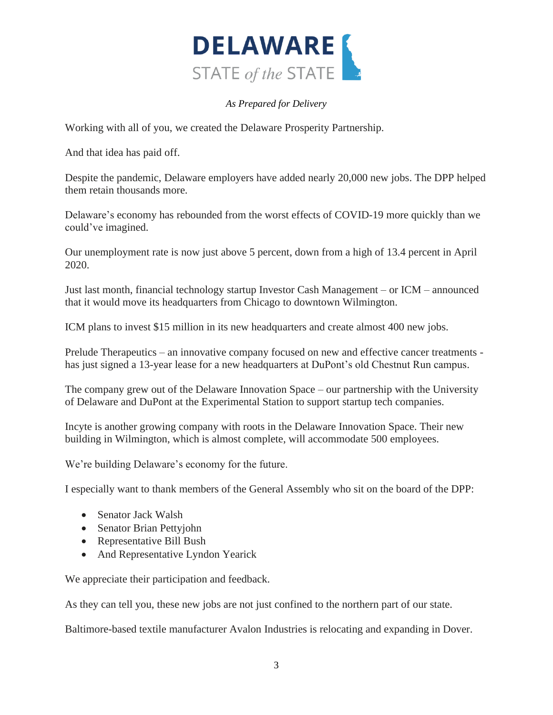

Working with all of you, we created the Delaware Prosperity Partnership.

And that idea has paid off.

Despite the pandemic, Delaware employers have added nearly 20,000 new jobs. The DPP helped them retain thousands more.

Delaware's economy has rebounded from the worst effects of COVID-19 more quickly than we could've imagined.

Our unemployment rate is now just above 5 percent, down from a high of 13.4 percent in April 2020.

Just last month, financial technology startup Investor Cash Management – or ICM – announced that it would move its headquarters from Chicago to downtown Wilmington.

ICM plans to invest \$15 million in its new headquarters and create almost 400 new jobs.

Prelude Therapeutics – an innovative company focused on new and effective cancer treatments has just signed a 13-year lease for a new headquarters at DuPont's old Chestnut Run campus.

The company grew out of the Delaware Innovation Space – our partnership with the University of Delaware and DuPont at the Experimental Station to support startup tech companies.

Incyte is another growing company with roots in the Delaware Innovation Space. Their new building in Wilmington, which is almost complete, will accommodate 500 employees.

We're building Delaware's economy for the future.

I especially want to thank members of the General Assembly who sit on the board of the DPP:

- Senator Jack Walsh
- Senator Brian Pettyjohn
- Representative Bill Bush
- And Representative Lyndon Yearick

We appreciate their participation and feedback.

As they can tell you, these new jobs are not just confined to the northern part of our state.

Baltimore-based textile manufacturer Avalon Industries is relocating and expanding in Dover.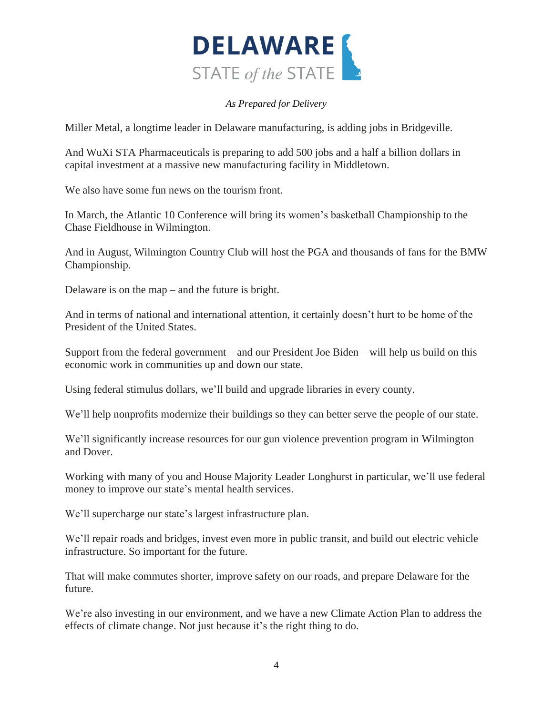

Miller Metal, a longtime leader in Delaware manufacturing, is adding jobs in Bridgeville.

And WuXi STA Pharmaceuticals is preparing to add 500 jobs and a half a billion dollars in capital investment at a massive new manufacturing facility in Middletown.

We also have some fun news on the tourism front.

In March, the Atlantic 10 Conference will bring its women's basketball Championship to the Chase Fieldhouse in Wilmington.

And in August, Wilmington Country Club will host the PGA and thousands of fans for the BMW Championship.

Delaware is on the map – and the future is bright.

And in terms of national and international attention, it certainly doesn't hurt to be home of the President of the United States.

Support from the federal government – and our President Joe Biden – will help us build on this economic work in communities up and down our state.

Using federal stimulus dollars, we'll build and upgrade libraries in every county.

We'll help nonprofits modernize their buildings so they can better serve the people of our state.

We'll significantly increase resources for our gun violence prevention program in Wilmington and Dover.

Working with many of you and House Majority Leader Longhurst in particular, we'll use federal money to improve our state's mental health services.

We'll supercharge our state's largest infrastructure plan.

We'll repair roads and bridges, invest even more in public transit, and build out electric vehicle infrastructure. So important for the future.

That will make commutes shorter, improve safety on our roads, and prepare Delaware for the future.

We're also investing in our environment, and we have a new Climate Action Plan to address the effects of climate change. Not just because it's the right thing to do.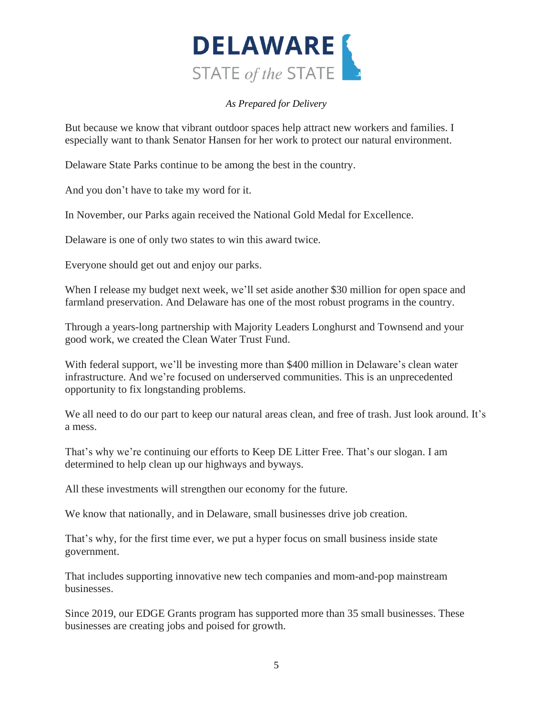

But because we know that vibrant outdoor spaces help attract new workers and families. I especially want to thank Senator Hansen for her work to protect our natural environment.

Delaware State Parks continue to be among the best in the country.

And you don't have to take my word for it.

In November, our Parks again received the National Gold Medal for Excellence.

Delaware is one of only two states to win this award twice.

Everyone should get out and enjoy our parks.

When I release my budget next week, we'll set aside another \$30 million for open space and farmland preservation. And Delaware has one of the most robust programs in the country.

Through a years-long partnership with Majority Leaders Longhurst and Townsend and your good work, we created the Clean Water Trust Fund.

With federal support, we'll be investing more than \$400 million in Delaware's clean water infrastructure. And we're focused on underserved communities. This is an unprecedented opportunity to fix longstanding problems.

We all need to do our part to keep our natural areas clean, and free of trash. Just look around. It's a mess.

That's why we're continuing our efforts to Keep DE Litter Free. That's our slogan. I am determined to help clean up our highways and byways.

All these investments will strengthen our economy for the future.

We know that nationally, and in Delaware, small businesses drive job creation.

That's why, for the first time ever, we put a hyper focus on small business inside state government.

That includes supporting innovative new tech companies and mom-and-pop mainstream businesses.

Since 2019, our EDGE Grants program has supported more than 35 small businesses. These businesses are creating jobs and poised for growth.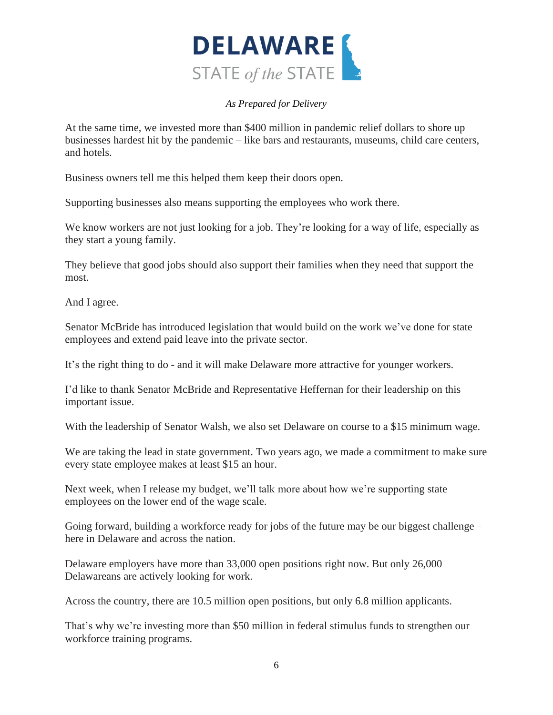

At the same time, we invested more than \$400 million in pandemic relief dollars to shore up businesses hardest hit by the pandemic – like bars and restaurants, museums, child care centers, and hotels.

Business owners tell me this helped them keep their doors open.

Supporting businesses also means supporting the employees who work there.

We know workers are not just looking for a job. They're looking for a way of life, especially as they start a young family.

They believe that good jobs should also support their families when they need that support the most.

And I agree.

Senator McBride has introduced legislation that would build on the work we've done for state employees and extend paid leave into the private sector.

It's the right thing to do - and it will make Delaware more attractive for younger workers.

I'd like to thank Senator McBride and Representative Heffernan for their leadership on this important issue.

With the leadership of Senator Walsh, we also set Delaware on course to a \$15 minimum wage.

We are taking the lead in state government. Two years ago, we made a commitment to make sure every state employee makes at least \$15 an hour.

Next week, when I release my budget, we'll talk more about how we're supporting state employees on the lower end of the wage scale.

Going forward, building a workforce ready for jobs of the future may be our biggest challenge – here in Delaware and across the nation.

Delaware employers have more than 33,000 open positions right now. But only 26,000 Delawareans are actively looking for work.

Across the country, there are 10.5 million open positions, but only 6.8 million applicants.

That's why we're investing more than \$50 million in federal stimulus funds to strengthen our workforce training programs.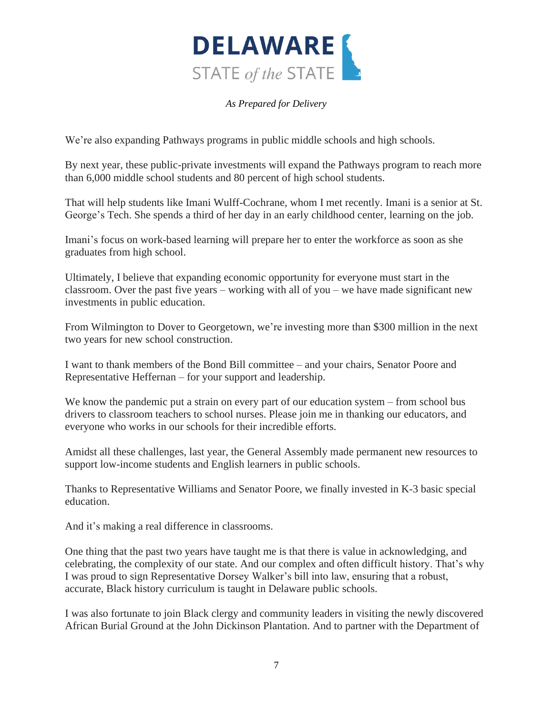

We're also expanding Pathways programs in public middle schools and high schools.

By next year, these public-private investments will expand the Pathways program to reach more than 6,000 middle school students and 80 percent of high school students.

That will help students like Imani Wulff-Cochrane, whom I met recently. Imani is a senior at St. George's Tech. She spends a third of her day in an early childhood center, learning on the job.

Imani's focus on work-based learning will prepare her to enter the workforce as soon as she graduates from high school.

Ultimately, I believe that expanding economic opportunity for everyone must start in the classroom. Over the past five years – working with all of you – we have made significant new investments in public education.

From Wilmington to Dover to Georgetown, we're investing more than \$300 million in the next two years for new school construction.

I want to thank members of the Bond Bill committee – and your chairs, Senator Poore and Representative Heffernan – for your support and leadership.

We know the pandemic put a strain on every part of our education system – from school bus drivers to classroom teachers to school nurses. Please join me in thanking our educators, and everyone who works in our schools for their incredible efforts.

Amidst all these challenges, last year, the General Assembly made permanent new resources to support low-income students and English learners in public schools.

Thanks to Representative Williams and Senator Poore, we finally invested in K-3 basic special education.

And it's making a real difference in classrooms.

One thing that the past two years have taught me is that there is value in acknowledging, and celebrating, the complexity of our state. And our complex and often difficult history. That's why I was proud to sign Representative Dorsey Walker's bill into law, ensuring that a robust, accurate, Black history curriculum is taught in Delaware public schools.

I was also fortunate to join Black clergy and community leaders in visiting the newly discovered African Burial Ground at the John Dickinson Plantation. And to partner with the Department of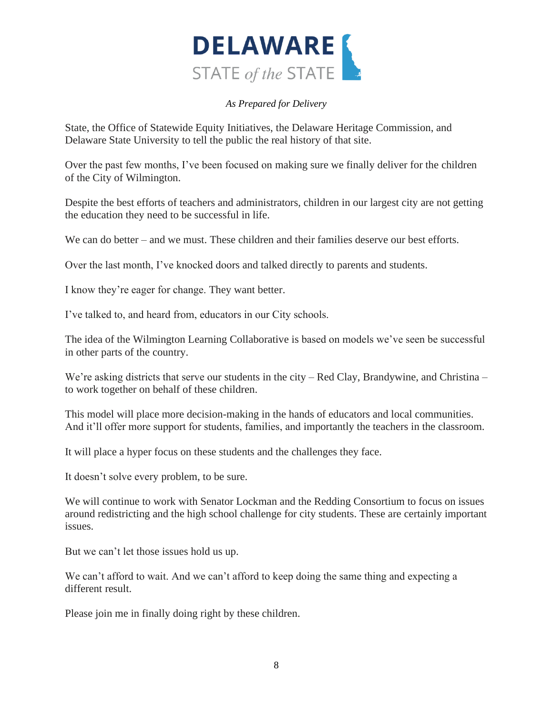

State, the Office of Statewide Equity Initiatives, the Delaware Heritage Commission, and Delaware State University to tell the public the real history of that site.

Over the past few months, I've been focused on making sure we finally deliver for the children of the City of Wilmington.

Despite the best efforts of teachers and administrators, children in our largest city are not getting the education they need to be successful in life.

We can do better – and we must. These children and their families deserve our best efforts.

Over the last month, I've knocked doors and talked directly to parents and students.

I know they're eager for change. They want better.

I've talked to, and heard from, educators in our City schools.

The idea of the Wilmington Learning Collaborative is based on models we've seen be successful in other parts of the country.

We're asking districts that serve our students in the city – Red Clay, Brandywine, and Christina – to work together on behalf of these children.

This model will place more decision-making in the hands of educators and local communities. And it'll offer more support for students, families, and importantly the teachers in the classroom.

It will place a hyper focus on these students and the challenges they face.

It doesn't solve every problem, to be sure.

We will continue to work with Senator Lockman and the Redding Consortium to focus on issues around redistricting and the high school challenge for city students. These are certainly important issues.

But we can't let those issues hold us up.

We can't afford to wait. And we can't afford to keep doing the same thing and expecting a different result.

Please join me in finally doing right by these children.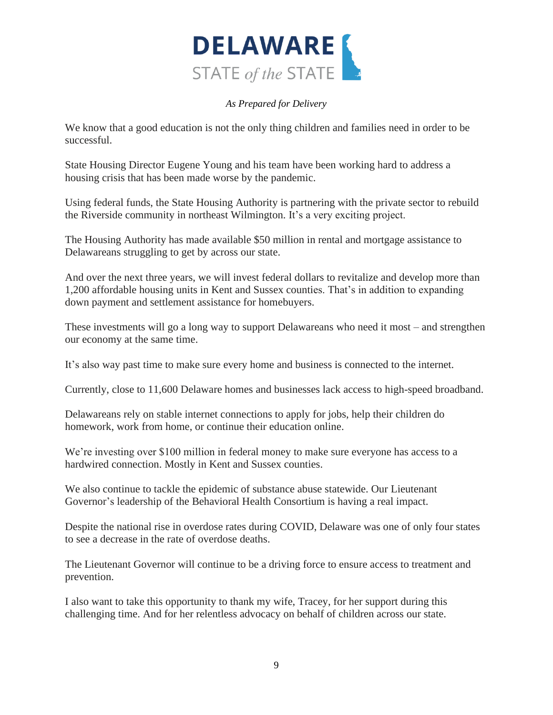

We know that a good education is not the only thing children and families need in order to be successful.

State Housing Director Eugene Young and his team have been working hard to address a housing crisis that has been made worse by the pandemic.

Using federal funds, the State Housing Authority is partnering with the private sector to rebuild the Riverside community in northeast Wilmington. It's a very exciting project.

The Housing Authority has made available \$50 million in rental and mortgage assistance to Delawareans struggling to get by across our state.

And over the next three years, we will invest federal dollars to revitalize and develop more than 1,200 affordable housing units in Kent and Sussex counties. That's in addition to expanding down payment and settlement assistance for homebuyers.

These investments will go a long way to support Delawareans who need it most – and strengthen our economy at the same time.

It's also way past time to make sure every home and business is connected to the internet.

Currently, close to 11,600 Delaware homes and businesses lack access to high-speed broadband.

Delawareans rely on stable internet connections to apply for jobs, help their children do homework, work from home, or continue their education online.

We're investing over \$100 million in federal money to make sure everyone has access to a hardwired connection. Mostly in Kent and Sussex counties.

We also continue to tackle the epidemic of substance abuse statewide. Our Lieutenant Governor's leadership of the Behavioral Health Consortium is having a real impact.

Despite the national rise in overdose rates during COVID, Delaware was one of only four states to see a decrease in the rate of overdose deaths.

The Lieutenant Governor will continue to be a driving force to ensure access to treatment and prevention.

I also want to take this opportunity to thank my wife, Tracey, for her support during this challenging time. And for her relentless advocacy on behalf of children across our state.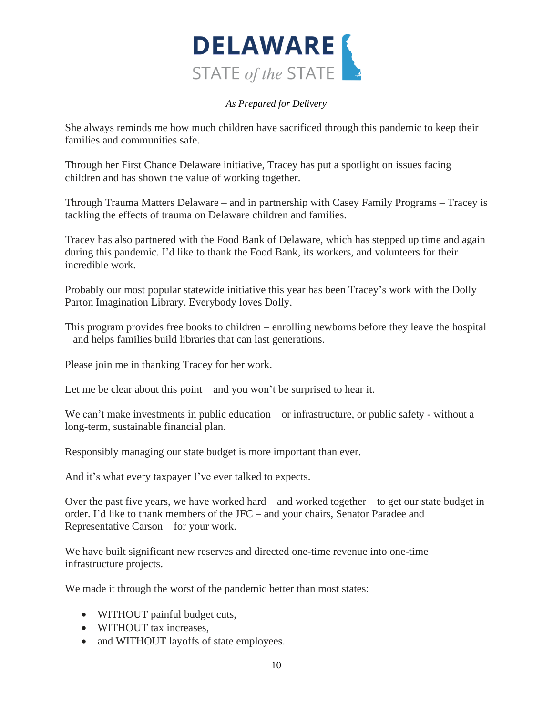

She always reminds me how much children have sacrificed through this pandemic to keep their families and communities safe.

Through her First Chance Delaware initiative, Tracey has put a spotlight on issues facing children and has shown the value of working together.

Through Trauma Matters Delaware – and in partnership with Casey Family Programs – Tracey is tackling the effects of trauma on Delaware children and families.

Tracey has also partnered with the Food Bank of Delaware, which has stepped up time and again during this pandemic. I'd like to thank the Food Bank, its workers, and volunteers for their incredible work.

Probably our most popular statewide initiative this year has been Tracey's work with the Dolly Parton Imagination Library. Everybody loves Dolly.

This program provides free books to children – enrolling newborns before they leave the hospital – and helps families build libraries that can last generations.

Please join me in thanking Tracey for her work.

Let me be clear about this point – and you won't be surprised to hear it.

We can't make investments in public education – or infrastructure, or public safety - without a long-term, sustainable financial plan.

Responsibly managing our state budget is more important than ever.

And it's what every taxpayer I've ever talked to expects.

Over the past five years, we have worked hard – and worked together – to get our state budget in order. I'd like to thank members of the JFC – and your chairs, Senator Paradee and Representative Carson – for your work.

We have built significant new reserves and directed one-time revenue into one-time infrastructure projects.

We made it through the worst of the pandemic better than most states:

- WITHOUT painful budget cuts,
- WITHOUT tax increases.
- and WITHOUT layoffs of state employees.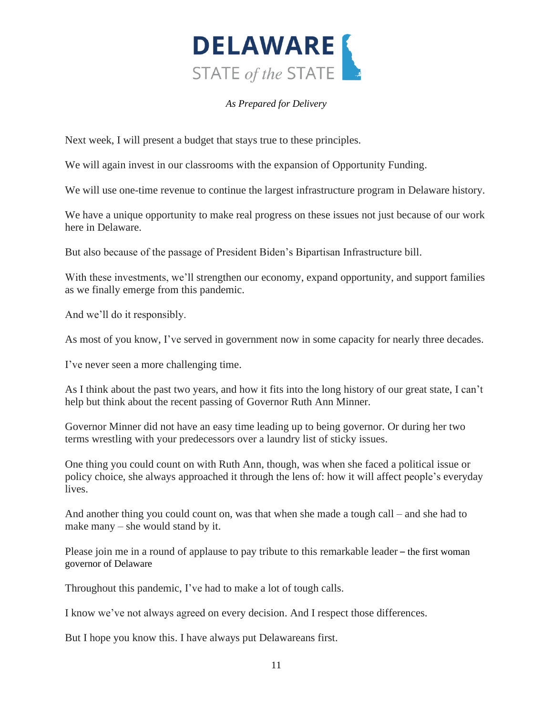

Next week, I will present a budget that stays true to these principles.

We will again invest in our classrooms with the expansion of Opportunity Funding.

We will use one-time revenue to continue the largest infrastructure program in Delaware history.

We have a unique opportunity to make real progress on these issues not just because of our work here in Delaware.

But also because of the passage of President Biden's Bipartisan Infrastructure bill.

With these investments, we'll strengthen our economy, expand opportunity, and support families as we finally emerge from this pandemic.

And we'll do it responsibly.

As most of you know, I've served in government now in some capacity for nearly three decades.

I've never seen a more challenging time.

As I think about the past two years, and how it fits into the long history of our great state, I can't help but think about the recent passing of Governor Ruth Ann Minner.

Governor Minner did not have an easy time leading up to being governor. Or during her two terms wrestling with your predecessors over a laundry list of sticky issues.

One thing you could count on with Ruth Ann, though, was when she faced a political issue or policy choice, she always approached it through the lens of: how it will affect people's everyday lives.

And another thing you could count on, was that when she made a tough call – and she had to make many – she would stand by it.

Please join me in a round of applause to pay tribute to this remarkable leader – the first woman governor of Delaware

Throughout this pandemic, I've had to make a lot of tough calls.

I know we've not always agreed on every decision. And I respect those differences.

But I hope you know this. I have always put Delawareans first.